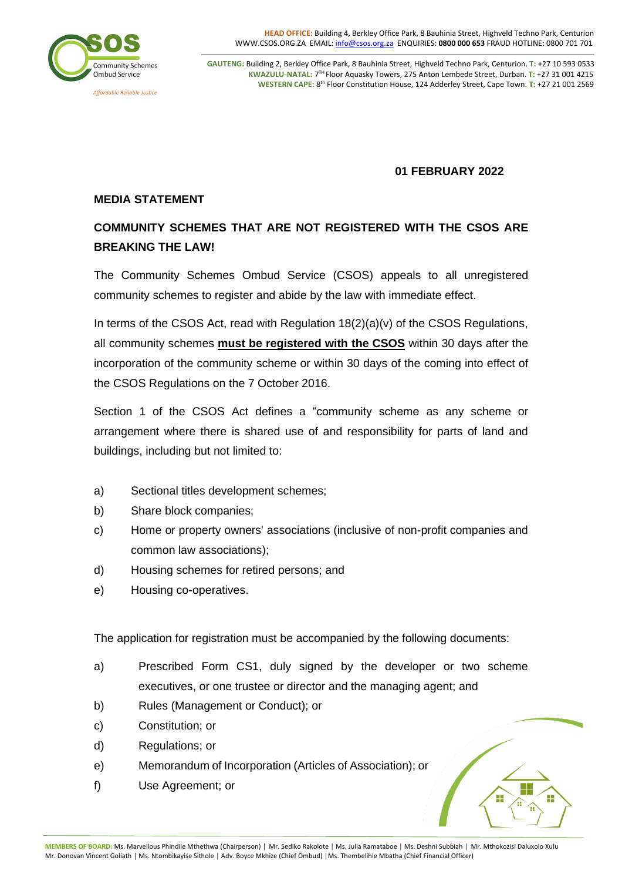

**GAUTENG:** Building 2, Berkley Office Park, 8 Bauhinia Street, Highveld Techno Park, Centurion. **T:** +27 10 593 0533  **KWAZULU-NATAL:** 7 TH Floor Aquasky Towers, 275 Anton Lembede Street, Durban. **T:** [+27](tel:%28%2B27%2010%29%20593%200533) 31 001 4215 **WESTERN CAPE:** 8<sup>th</sup> Floor Constitution House, 124 Adderley Street, Cape Town. T: [+27](tel:%28%2B27%2010%29%20593%200533) 21 001 2569

## **01 FEBRUARY 2022**

## **MEDIA STATEMENT**

# **COMMUNITY SCHEMES THAT ARE NOT REGISTERED WITH THE CSOS ARE BREAKING THE LAW!**

The Community Schemes Ombud Service (CSOS) appeals to all unregistered community schemes to register and abide by the law with immediate effect.

In terms of the CSOS Act, read with Regulation 18(2)(a)(v) of the CSOS Regulations, all community schemes **must be registered with the CSOS** within 30 days after the incorporation of the community scheme or within 30 days of the coming into effect of the CSOS Regulations on the 7 October 2016.

Section 1 of the CSOS Act defines a "community scheme as any scheme or arrangement where there is shared use of and responsibility for parts of land and buildings, including but not limited to:

- a) Sectional titles development schemes;
- b) Share block companies;
- c) Home or property owners' associations (inclusive of non-profit companies and common law associations);
- d) Housing schemes for retired persons; and
- e) Housing co-operatives.

The application for registration must be accompanied by the following documents:

- a) Prescribed Form CS1, duly signed by the developer or two scheme executives, or one trustee or director and the managing agent; and
- b) Rules (Management or Conduct); or
- c) Constitution; or
- d) Regulations; or
- e) Memorandum of Incorporation (Articles of Association); or
- f) Use Agreement; or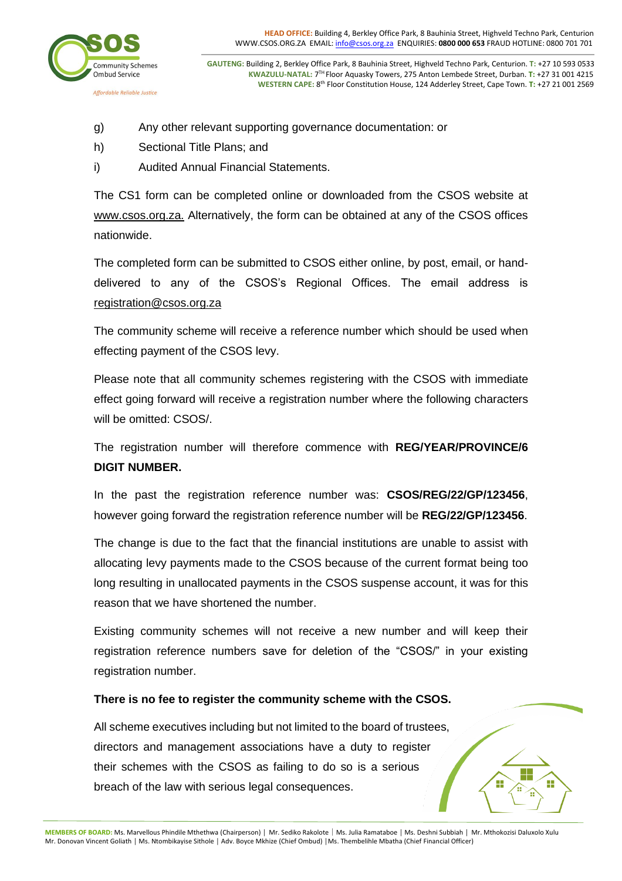

**GAUTENG:** Building 2, Berkley Office Park, 8 Bauhinia Street, Highveld Techno Park, Centurion. **T:** +27 10 593 0533  **KWAZULU-NATAL:** 7 TH Floor Aquasky Towers, 275 Anton Lembede Street, Durban. **T:** [+27](tel:%28%2B27%2010%29%20593%200533) 31 001 4215 **WESTERN CAPE:** 8<sup>th</sup> Floor Constitution House, 124 Adderley Street, Cape Town. T: [+27](tel:%28%2B27%2010%29%20593%200533) 21 001 2569

- g) Any other relevant supporting governance documentation: or
- h) Sectional Title Plans; and
- i) Audited Annual Financial Statements.

The CS1 form can be completed online or downloaded from the CSOS website at www.csos.org.za. Alternatively, the form can be obtained at any of the CSOS offices nationwide.

The completed form can be submitted to CSOS either online, by post, email, or handdelivered to any of the CSOS's Regional Offices. The email address is registration@csos.org.za

The community scheme will receive a reference number which should be used when effecting payment of the CSOS levy.

Please note that all community schemes registering with the CSOS with immediate effect going forward will receive a registration number where the following characters will be omitted: CSOS/.

The registration number will therefore commence with **REG/YEAR/PROVINCE/6 DIGIT NUMBER.**

In the past the registration reference number was: **CSOS/REG/22/GP/123456**, however going forward the registration reference number will be **REG/22/GP/123456**.

The change is due to the fact that the financial institutions are unable to assist with allocating levy payments made to the CSOS because of the current format being too long resulting in unallocated payments in the CSOS suspense account, it was for this reason that we have shortened the number.

Existing community schemes will not receive a new number and will keep their registration reference numbers save for deletion of the "CSOS/" in your existing registration number.

## **There is no fee to register the community scheme with the CSOS.**

All scheme executives including but not limited to the board of trustees, directors and management associations have a duty to register their schemes with the CSOS as failing to do so is a serious breach of the law with serious legal consequences.

**MEMBERS OF BOARD:** Ms. Marvellous Phindile Mthethwa (Chairperson) │ Mr. Sediko Rakolote│Ms. Julia Ramataboe │ Ms. Deshni Subbiah │ Mr. Mthokozisi Daluxolo Xulu Mr. Donovan Vincent Goliath │ Ms. Ntombikayise Sithole │ Adv. Boyce Mkhize (Chief Ombud) │Ms. Thembelihle Mbatha (Chief Financial Officer)